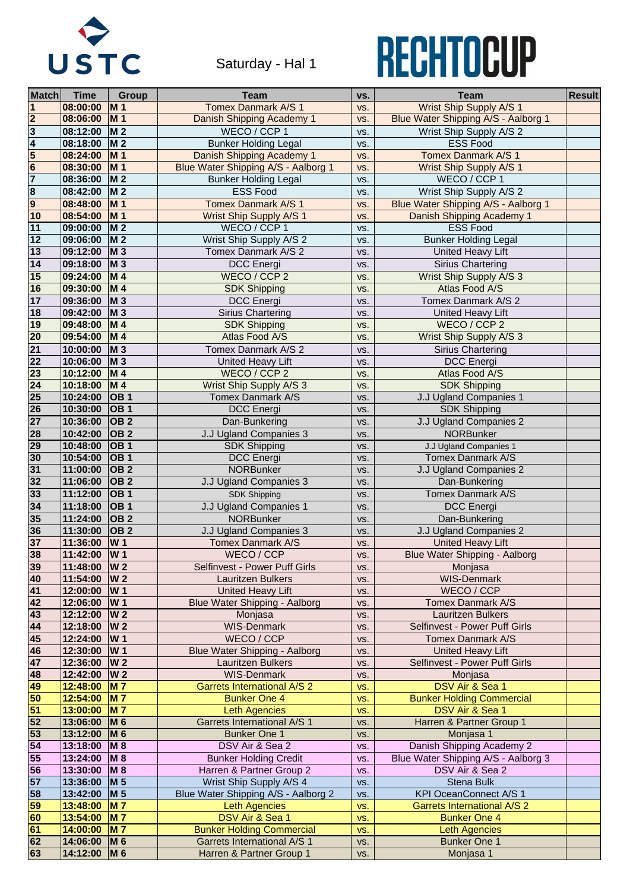| <b>Match</b>            | <b>Time</b>          | <b>Group</b>              | Team                                 | VS. | Team                                 | <b>Result</b> |
|-------------------------|----------------------|---------------------------|--------------------------------------|-----|--------------------------------------|---------------|
|                         | 08:00:00             | <b>M1</b>                 | <b>Tomex Danmark A/S 1</b>           | VS. | <b>Wrist Ship Supply A/S 1</b>       |               |
| $\overline{2}$          | 08:06:00             | $ M_1$                    | Danish Shipping Academy 1            | VS. | Blue Water Shipping A/S - Aalborg 1  |               |
| $\overline{\mathbf{3}}$ | 08:12:00             | <b>M2</b>                 | WECO / CCP 1                         | VS. | Wrist Ship Supply A/S 2              |               |
| $\overline{\mathbf{4}}$ | 08:18:00             | <b>M2</b>                 | <b>Bunker Holding Legal</b>          | VS. | <b>ESS Food</b>                      |               |
| 5                       | 08:24:00             | <b>M1</b>                 | Danish Shipping Academy 1            | VS. | <b>Tomex Danmark A/S 1</b>           |               |
| $6\phantom{1}6$         | 08:30:00             | <b>M1</b>                 | Blue Water Shipping A/S - Aalborg 1  | VS. | <b>Wrist Ship Supply A/S 1</b>       |               |
| $\overline{7}$          | 08:36:00             | $\overline{M}$ 2          | <b>Bunker Holding Legal</b>          | VS. | WECO / CCP 1                         |               |
| $\overline{\mathbf{8}}$ | 08:42:00             | <b>M2</b>                 | <b>ESS Food</b>                      | VS. | Wrist Ship Supply A/S 2              |               |
| $\overline{9}$          | 08:48:00             | <b>M1</b>                 | <b>Tomex Danmark A/S 1</b>           |     |                                      |               |
|                         | 08:54:00             |                           |                                      | VS. | Blue Water Shipping A/S - Aalborg 1  |               |
| 10                      |                      | $\vert M 1$               | <b>Wrist Ship Supply A/S 1</b>       | VS. | Danish Shipping Academy 1            |               |
| 11                      | 09:00:00             | <b>M2</b>                 | WECO / CCP 1                         | VS. | <b>ESS Food</b>                      |               |
| 12                      | 09:06:00             | <b>M2</b>                 | Wrist Ship Supply A/S 2              | VS. | <b>Bunker Holding Legal</b>          |               |
| 13                      | 09:12:00             | $\mathsf{M}3$             | <b>Tomex Danmark A/S 2</b>           | VS. | United Heavy Lift                    |               |
| 14                      | 09:18:00             | <b>M3</b>                 | <b>DCC</b> Energi                    | VS. | <b>Sirius Chartering</b>             |               |
| 15                      | 09:24:00             | <b>M4</b>                 | WECO / CCP 2                         | VS. | <b>Wrist Ship Supply A/S 3</b>       |               |
| 16                      | 09:30:00             | <b>M4</b>                 | <b>SDK Shipping</b>                  | VS. | Atlas Food A/S                       |               |
| 17                      | 09:36:00             | $\mathsf{M}3$             | <b>DCC</b> Energi                    | VS. | Tomex Danmark A/S 2                  |               |
| 18                      | 09:42:00             | $\mathsf{M}3$             | <b>Sirius Chartering</b>             | VS. | <b>United Heavy Lift</b>             |               |
| 19                      | 09:48:00             | $\mid M 4$                | <b>SDK Shipping</b>                  | VS. | WECO / CCP 2                         |               |
| 20                      | 09:54:00             | <b>M4</b>                 | Atlas Food A/S                       | VS. | <b>Wrist Ship Supply A/S 3</b>       |               |
| 21                      | 10:00:00             | <b>M3</b>                 | Tomex Danmark A/S 2                  | VS. | <b>Sirius Chartering</b>             |               |
| $\overline{22}$         | 10:06:00             | <b>M3</b>                 | <b>United Heavy Lift</b>             | VS. | <b>DCC</b> Energi                    |               |
| 23                      | 10:12:00             | <b>M4</b>                 | WECO / CCP 2                         | VS. | Atlas Food A/S                       |               |
| 24                      | 10:18:00             | <b>M4</b>                 | Wrist Ship Supply A/S 3              | VS. | <b>SDK Shipping</b>                  |               |
| 25                      | 10:24:00             | $\overline{OB}$ 1         | <b>Tomex Danmark A/S</b>             | VS. | J.J Ugland Companies 1               |               |
| 26                      | 10:30:00             | $\overline{OB}$ 1         | <b>DCC</b> Energi                    |     | <b>SDK Shipping</b>                  |               |
| 27                      |                      |                           |                                      | VS. |                                      |               |
|                         | 10:36:00             | OB <sub>2</sub>           | Dan-Bunkering                        | VS. | <b>J.J Ugland Companies 2</b>        |               |
| 28                      | 10:42:00             | OB 2                      | J.J Ugland Companies 3               | VS. | <b>NORBunker</b>                     |               |
| 29                      | 10:48:00             | $\overline{OB}$ 1         | <b>SDK Shipping</b>                  | VS. | J.J Ugland Companies 1               |               |
| 30                      | 10:54:00             | $\overline{OB}$ 1         | <b>DCC</b> Energi                    | VS. | <b>Tomex Danmark A/S</b>             |               |
| 31                      | 11:00:00             | $\overline{OB}$ 2         | <b>NORBunker</b>                     | VS. | J.J Ugland Companies 2               |               |
| 32                      | 11:06:00             | $\overline{OB}$ 2         | J.J Ugland Companies 3               | VS. | Dan-Bunkering                        |               |
| 33                      | 11:12:00             | <b>OB1</b>                | <b>SDK Shipping</b>                  | VS. | <b>Tomex Danmark A/S</b>             |               |
| 34                      | 11:18:00             | <b>OB1</b>                | J.J Ugland Companies 1               | VS. | <b>DCC</b> Energi                    |               |
| 35                      | 11:24:00             | $\overline{OB}$ 2         | <b>NORBunker</b>                     | VS. | Dan-Bunkering                        |               |
| 36                      | 11:30:00             | <b>OB2</b>                | J.J Ugland Companies 3               | VS. | <b>J.J Ugland Companies 2</b>        |               |
| 37                      | 11:36:00             | <b>W1</b>                 | <b>Tomex Danmark A/S</b>             | VS. | <b>United Heavy Lift</b>             |               |
| 38                      | 11:42:00             | <b>W1</b>                 | WECO / CCP                           | VS. | <b>Blue Water Shipping - Aalborg</b> |               |
| 39                      | 11:48:00             | <b>W2</b>                 | <b>Selfinvest - Power Puff Girls</b> | VS. | Monjasa                              |               |
| 40                      | 11:54:00             | <b>W2</b>                 | <b>Lauritzen Bulkers</b>             | VS. | <b>WIS-Denmark</b>                   |               |
| 41                      | 12:00:00             | <b>W1</b>                 | <b>United Heavy Lift</b>             | VS. | WECO / CCP                           |               |
| 42                      | 12:06:00             | <b>W</b> 1                | <b>Blue Water Shipping - Aalborg</b> | VS. | <b>Tomex Danmark A/S</b>             |               |
| 43                      | 12:12:00             | <b>W2</b>                 | Monjasa                              | VS. | <b>Lauritzen Bulkers</b>             |               |
| 44                      | 12:18:00             | <b>W2</b>                 | <b>WIS-Denmark</b>                   | VS. | <b>Selfinvest - Power Puff Girls</b> |               |
| 45                      | 12:24:00             | <b>W1</b>                 | WECO / CCP                           | VS. | <b>Tomex Danmark A/S</b>             |               |
| 46                      | 12:30:00             | <b>W1</b>                 | <b>Blue Water Shipping - Aalborg</b> | VS. | <b>United Heavy Lift</b>             |               |
| 47                      | 12:36:00             | <b>W2</b>                 | <b>Lauritzen Bulkers</b>             | VS. | <b>Selfinvest - Power Puff Girls</b> |               |
| 48                      | 12:42:00             | <b>W2</b>                 | <b>WIS-Denmark</b>                   | VS. | Monjasa                              |               |
| 49                      | 12:48:00             | <b>M</b> 7                | <b>Garrets International A/S 2</b>   | VS. | DSV Air & Sea 1                      |               |
| 50                      | 12:54:00             | <b>M</b> 7                | <b>Bunker One 4</b>                  | VS. | <b>Bunker Holding Commercial</b>     |               |
| 51                      | 13:00:00             | <b>M7</b>                 | Leth Agencies                        | VS. | DSV Air & Sea 1                      |               |
|                         |                      |                           | <b>Garrets International A/S 1</b>   |     |                                      |               |
| 52<br>53                | 13:06:00<br>13:12:00 | <b>M6</b><br>M 6          | <b>Bunker One 1</b>                  | VS. | Harren & Partner Group 1             |               |
|                         |                      |                           |                                      | VS. | Monjasa 1                            |               |
| 54                      | 13:18:00             | <b>M</b> 8                | DSV Air & Sea 2                      | VS. | Danish Shipping Academy 2            |               |
| 55                      | 13:24:00             | M8                        | <b>Bunker Holding Credit</b>         | VS. | Blue Water Shipping A/S - Aalborg 3  |               |
| 56                      | $13:30:00$ M 8       |                           | Harren & Partner Group 2             | VS. | DSV Air & Sea 2                      |               |
| 57                      | 13:36:00             | $\mathsf{M}5$             | Wrist Ship Supply A/S 4              | VS. | <b>Stena Bulk</b>                    |               |
| 58                      | 13:42:00             | $\overline{\mathsf{M}}$ 5 | Blue Water Shipping A/S - Aalborg 2  | VS. | <b>KPI OceanConnect A/S 1</b>        |               |
| 59                      | 13:48:00             | $\overline{M}$ 7          | <b>Leth Agencies</b>                 | VS. | <b>Garrets International A/S 2</b>   |               |
| 60                      | 13:54:00             | M <sub>7</sub>            | DSV Air & Sea 1                      | VS. | <b>Bunker One 4</b>                  |               |
| 61                      | 14:00:00             | <b>M</b> 7                | <b>Bunker Holding Commercial</b>     | VS. | <b>Leth Agencies</b>                 |               |
| 62                      | 14:06:00             | $\mathsf{M}6$             | <b>Garrets International A/S 1</b>   | VS. | <b>Bunker One 1</b>                  |               |
| 63                      | 14:12:00             | $\overline{M}$ 6          | Harren & Partner Group 1             | VS. | Monjasa 1                            |               |



Saturday - Hal 1

## RECHTOCUP